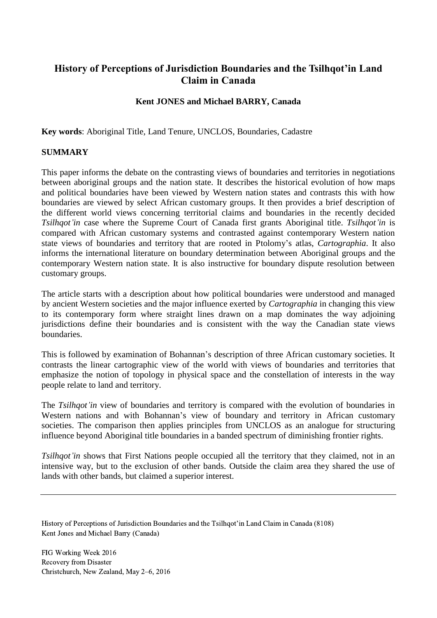# **History of Perceptions of Jurisdiction Boundaries and the Tsilhqot'in Land Claim in Canada**

# **Kent JONES and Michael BARRY, Canada**

**Key words**: Aboriginal Title, Land Tenure, UNCLOS, Boundaries, Cadastre

### **SUMMARY**

This paper informs the debate on the contrasting views of boundaries and territories in negotiations between aboriginal groups and the nation state. It describes the historical evolution of how maps and political boundaries have been viewed by Western nation states and contrasts this with how boundaries are viewed by select African customary groups. It then provides a brief description of the different world views concerning territorial claims and boundaries in the recently decided *Tsilhqot'in* case where the Supreme Court of Canada first grants Aboriginal title. *Tsilhqot'in* is compared with African customary systems and contrasted against contemporary Western nation state views of boundaries and territory that are rooted in Ptolomy's atlas, *Cartographia*. It also informs the international literature on boundary determination between Aboriginal groups and the contemporary Western nation state. It is also instructive for boundary dispute resolution between customary groups.

The article starts with a description about how political boundaries were understood and managed by ancient Western societies and the major influence exerted by *Cartographia* in changing this view to its contemporary form where straight lines drawn on a map dominates the way adjoining jurisdictions define their boundaries and is consistent with the way the Canadian state views boundaries.

This is followed by examination of Bohannan's description of three African customary societies. It contrasts the linear cartographic view of the world with views of boundaries and territories that emphasize the notion of topology in physical space and the constellation of interests in the way people relate to land and territory.

The *Tsilhqot'in* view of boundaries and territory is compared with the evolution of boundaries in Western nations and with Bohannan's view of boundary and territory in African customary societies. The comparison then applies principles from UNCLOS as an analogue for structuring influence beyond Aboriginal title boundaries in a banded spectrum of diminishing frontier rights.

*Tsilhqot'in* shows that First Nations people occupied all the territory that they claimed, not in an intensive way, but to the exclusion of other bands. Outside the claim area they shared the use of lands with other bands, but claimed a superior interest.

History of Perceptions of Jurisdiction Boundaries and the Tsilhqot'in Land Claim in Canada (8108) Kent Jones and Michael Barry (Canada)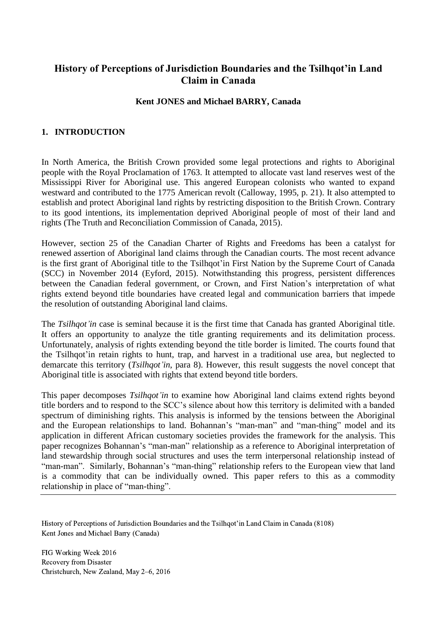# **History of Perceptions of Jurisdiction Boundaries and the Tsilhqot'in Land Claim in Canada**

## **Kent JONES and Michael BARRY, Canada**

## **1. INTRODUCTION**

In North America, the British Crown provided some legal protections and rights to Aboriginal people with the Royal Proclamation of 1763. It attempted to allocate vast land reserves west of the Mississippi River for Aboriginal use. This angered European colonists who wanted to expand westward and contributed to the 1775 American revolt (Calloway, 1995, p. 21). It also attempted to establish and protect Aboriginal land rights by restricting disposition to the British Crown. Contrary to its good intentions, its implementation deprived Aboriginal people of most of their land and rights (The Truth and Reconciliation Commission of Canada, 2015).

However, section 25 of the Canadian Charter of Rights and Freedoms has been a catalyst for renewed assertion of Aboriginal land claims through the Canadian courts. The most recent advance is the first grant of Aboriginal title to the Tsilhqot'in First Nation by the Supreme Court of Canada (SCC) in November 2014 (Eyford, 2015). Notwithstanding this progress, persistent differences between the Canadian federal government, or Crown, and First Nation's interpretation of what rights extend beyond title boundaries have created legal and communication barriers that impede the resolution of outstanding Aboriginal land claims.

The *Tsilhqot'in* case is seminal because it is the first time that Canada has granted Aboriginal title. It offers an opportunity to analyze the title granting requirements and its delimitation process. Unfortunately, analysis of rights extending beyond the title border is limited. The courts found that the Tsilhqot'in retain rights to hunt, trap, and harvest in a traditional use area, but neglected to demarcate this territory (*Tsilhqot'in*, para 8). However, this result suggests the novel concept that Aboriginal title is associated with rights that extend beyond title borders.

This paper decomposes *Tsilhqot'in* to examine how Aboriginal land claims extend rights beyond title borders and to respond to the SCC's silence about how this territory is delimited with a banded spectrum of diminishing rights. This analysis is informed by the tensions between the Aboriginal and the European relationships to land. Bohannan's "man-man" and "man-thing" model and its application in different African customary societies provides the framework for the analysis. This paper recognizes Bohannan's "man-man" relationship as a reference to Aboriginal interpretation of land stewardship through social structures and uses the term interpersonal relationship instead of "man-man". Similarly, Bohannan's "man-thing" relationship refers to the European view that land is a commodity that can be individually owned. This paper refers to this as a commodity relationship in place of "man-thing".

History of Perceptions of Jurisdiction Boundaries and the Tsilhqot'in Land Claim in Canada (8108) Kent Jones and Michael Barry (Canada)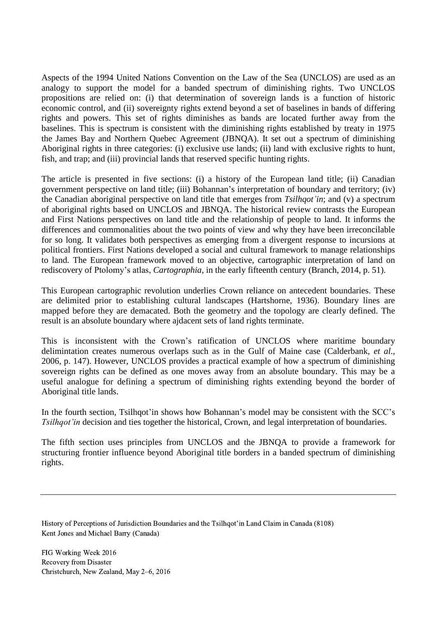Aspects of the 1994 United Nations Convention on the Law of the Sea (UNCLOS) are used as an analogy to support the model for a banded spectrum of diminishing rights. Two UNCLOS propositions are relied on: (i) that determination of sovereign lands is a function of historic economic control, and (ii) sovereignty rights extend beyond a set of baselines in bands of differing rights and powers. This set of rights diminishes as bands are located further away from the baselines. This is spectrum is consistent with the diminishing rights established by treaty in 1975 the James Bay and Northern Quebec Agreement (JBNQA). It set out a spectrum of diminishing Aboriginal rights in three categories: (i) exclusive use lands; (ii) land with exclusive rights to hunt, fish, and trap; and (iii) provincial lands that reserved specific hunting rights.

The article is presented in five sections: (i) a history of the European land title; (ii) Canadian government perspective on land title; (iii) Bohannan's interpretation of boundary and territory; (iv) the Canadian aboriginal perspective on land title that emerges from *Tsilhqot'in*; and (v) a spectrum of aboriginal rights based on UNCLOS and JBNQA. The historical review contrasts the European and First Nations perspectives on land title and the relationship of people to land. It informs the differences and commonalities about the two points of view and why they have been irreconcilable for so long. It validates both perspectives as emerging from a divergent response to incursions at political frontiers. First Nations developed a social and cultural framework to manage relationships to land. The European framework moved to an objective, cartographic interpretation of land on rediscovery of Ptolomy's atlas, *Cartographia*, in the early fifteenth century (Branch, 2014, p. 51).

This European cartographic revolution underlies Crown reliance on antecedent boundaries. These are delimited prior to establishing cultural landscapes (Hartshorne, 1936). Boundary lines are mapped before they are demacated. Both the geometry and the topology are clearly defined. The result is an absolute boundary where ajdacent sets of land rights terminate.

This is inconsistent with the Crown's ratification of UNCLOS where maritime boundary delimintation creates numerous overlaps such as in the Gulf of Maine case (Calderbank, *et al*., 2006, p. 147). However, UNCLOS provides a practical example of how a spectrum of diminishing sovereign rights can be defined as one moves away from an absolute boundary. This may be a useful analogue for defining a spectrum of diminishing rights extending beyond the border of Aboriginal title lands.

In the fourth section, Tsilhqot'in shows how Bohannan's model may be consistent with the SCC's *Tsilhqot'in* decision and ties together the historical, Crown, and legal interpretation of boundaries.

The fifth section uses principles from UNCLOS and the JBNQA to provide a framework for structuring frontier influence beyond Aboriginal title borders in a banded spectrum of diminishing rights.

History of Perceptions of Jurisdiction Boundaries and the Tsilhqot'in Land Claim in Canada (8108) Kent Jones and Michael Barry (Canada)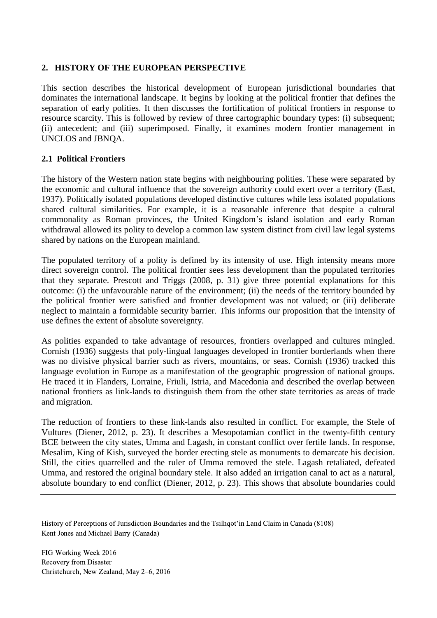## **2. HISTORY OF THE EUROPEAN PERSPECTIVE**

This section describes the historical development of European jurisdictional boundaries that dominates the international landscape. It begins by looking at the political frontier that defines the separation of early polities. It then discusses the fortification of political frontiers in response to resource scarcity. This is followed by review of three cartographic boundary types: (i) subsequent; (ii) antecedent; and (iii) superimposed. Finally, it examines modern frontier management in UNCLOS and JBNQA.

### **2.1 Political Frontiers**

The history of the Western nation state begins with neighbouring polities. These were separated by the economic and cultural influence that the sovereign authority could exert over a territory (East, 1937). Politically isolated populations developed distinctive cultures while less isolated populations shared cultural similarities. For example, it is a reasonable inference that despite a cultural commonality as Roman provinces, the United Kingdom's island isolation and early Roman withdrawal allowed its polity to develop a common law system distinct from civil law legal systems shared by nations on the European mainland.

The populated territory of a polity is defined by its intensity of use. High intensity means more direct sovereign control. The political frontier sees less development than the populated territories that they separate. Prescott and Triggs (2008, p. 31) give three potential explanations for this outcome: (i) the unfavourable nature of the environment; (ii) the needs of the territory bounded by the political frontier were satisfied and frontier development was not valued; or (iii) deliberate neglect to maintain a formidable security barrier. This informs our proposition that the intensity of use defines the extent of absolute sovereignty.

As polities expanded to take advantage of resources, frontiers overlapped and cultures mingled. Cornish (1936) suggests that poly-lingual languages developed in frontier borderlands when there was no divisive physical barrier such as rivers, mountains, or seas. Cornish (1936) tracked this language evolution in Europe as a manifestation of the geographic progression of national groups. He traced it in Flanders, Lorraine, Friuli, Istria, and Macedonia and described the overlap between national frontiers as link-lands to distinguish them from the other state territories as areas of trade and migration.

The reduction of frontiers to these link-lands also resulted in conflict. For example, the Stele of Vultures (Diener, 2012, p. 23). It describes a Mesopotamian conflict in the twenty-fifth century BCE between the city states, Umma and Lagash, in constant conflict over fertile lands. In response, Mesalim, King of Kish, surveyed the border erecting stele as monuments to demarcate his decision. Still, the cities quarrelled and the ruler of Umma removed the stele. Lagash retaliated, defeated Umma, and restored the original boundary stele. It also added an irrigation canal to act as a natural, absolute boundary to end conflict (Diener, 2012, p. 23). This shows that absolute boundaries could

History of Perceptions of Jurisdiction Boundaries and the Tsilhqot'in Land Claim in Canada (8108) Kent Jones and Michael Barry (Canada)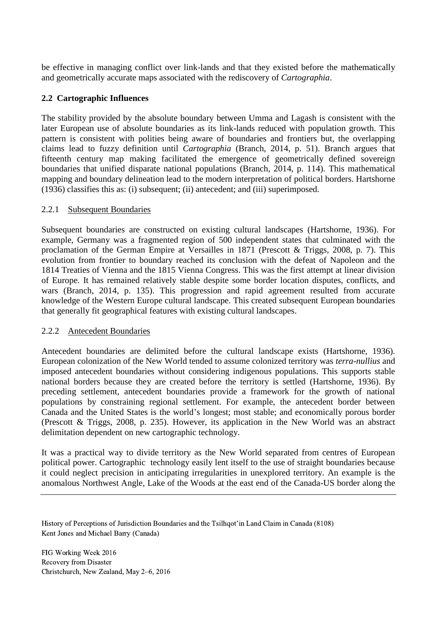be effective in managing conflict over link-lands and that they existed before the mathematically and geometrically accurate maps associated with the rediscovery of *Cartographia*.

## **2.2 Cartographic Influences**

The stability provided by the absolute boundary between Umma and Lagash is consistent with the later European use of absolute boundaries as its link-lands reduced with population growth. This pattern is consistent with polities being aware of boundaries and frontiers but, the overlapping claims lead to fuzzy definition until *Cartographia* (Branch, 2014, p. 51). Branch argues that fifteenth century map making facilitated the emergence of geometrically defined sovereign boundaries that unified disparate national populations (Branch, 2014, p. 114). This mathematical mapping and boundary delineation lead to the modern interpretation of political borders. Hartshorne (1936) classifies this as: (i) subsequent; (ii) antecedent; and (iii) superimposed.

### 2.2.1 Subsequent Boundaries

Subsequent boundaries are constructed on existing cultural landscapes (Hartshorne, 1936). For example, Germany was a fragmented region of 500 independent states that culminated with the proclamation of the German Empire at Versailles in 1871 (Prescott & Triggs, 2008, p. 7). This evolution from frontier to boundary reached its conclusion with the defeat of Napoleon and the 1814 Treaties of Vienna and the 1815 Vienna Congress. This was the first attempt at linear division of Europe. It has remained relatively stable despite some border location disputes, conflicts, and wars (Branch, 2014, p. 135). This progression and rapid agreement resulted from accurate knowledge of the Western Europe cultural landscape. This created subsequent European boundaries that generally fit geographical features with existing cultural landscapes.

#### 2.2.2 Antecedent Boundaries

Antecedent boundaries are delimited before the cultural landscape exists (Hartshorne, 1936). European colonization of the New World tended to assume colonized territory was *terra-nullius* and imposed antecedent boundaries without considering indigenous populations. This supports stable national borders because they are created before the territory is settled (Hartshorne, 1936). By preceding settlement, antecedent boundaries provide a framework for the growth of national populations by constraining regional settlement. For example, the antecedent border between Canada and the United States is the world's longest; most stable; and economically porous border (Prescott & Triggs, 2008, p. 235). However, its application in the New World was an abstract delimitation dependent on new cartographic technology.

It was a practical way to divide territory as the New World separated from centres of European political power. Cartographic technology easily lent itself to the use of straight boundaries because it could neglect precision in anticipating irregularities in unexplored territory. An example is the anomalous Northwest Angle, Lake of the Woods at the east end of the Canada-US border along the

History of Perceptions of Jurisdiction Boundaries and the Tsilhqot'in Land Claim in Canada (8108) Kent Jones and Michael Barry (Canada)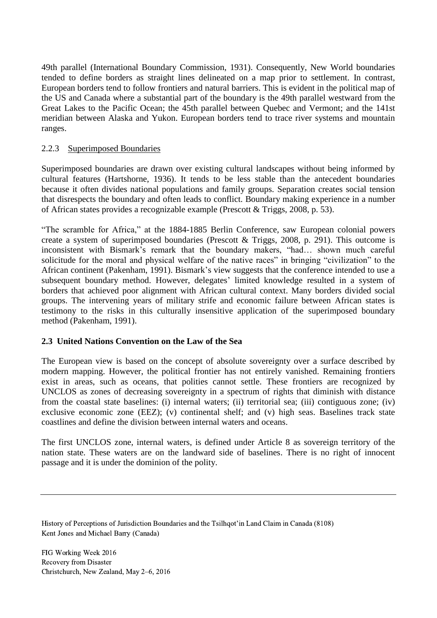49th parallel (International Boundary Commission, 1931). Consequently, New World boundaries tended to define borders as straight lines delineated on a map prior to settlement. In contrast, European borders tend to follow frontiers and natural barriers. This is evident in the political map of the US and Canada where a substantial part of the boundary is the 49th parallel westward from the Great Lakes to the Pacific Ocean; the 45th parallel between Quebec and Vermont; and the 141st meridian between Alaska and Yukon. European borders tend to trace river systems and mountain ranges.

### 2.2.3 Superimposed Boundaries

Superimposed boundaries are drawn over existing cultural landscapes without being informed by cultural features (Hartshorne, 1936). It tends to be less stable than the antecedent boundaries because it often divides national populations and family groups. Separation creates social tension that disrespects the boundary and often leads to conflict. Boundary making experience in a number of African states provides a recognizable example (Prescott & Triggs, 2008, p. 53).

"The scramble for Africa," at the 1884-1885 Berlin Conference, saw European colonial powers create a system of superimposed boundaries (Prescott & Triggs, 2008, p. 291). This outcome is inconsistent with Bismark's remark that the boundary makers, "had… shown much careful solicitude for the moral and physical welfare of the native races" in bringing "civilization" to the African continent (Pakenham, 1991). Bismark's view suggests that the conference intended to use a subsequent boundary method. However, delegates' limited knowledge resulted in a system of borders that achieved poor alignment with African cultural context. Many borders divided social groups. The intervening years of military strife and economic failure between African states is testimony to the risks in this culturally insensitive application of the superimposed boundary method (Pakenham, 1991).

#### **2.3 United Nations Convention on the Law of the Sea**

The European view is based on the concept of absolute sovereignty over a surface described by modern mapping. However, the political frontier has not entirely vanished. Remaining frontiers exist in areas, such as oceans, that polities cannot settle. These frontiers are recognized by UNCLOS as zones of decreasing sovereignty in a spectrum of rights that diminish with distance from the coastal state baselines: (i) internal waters; (ii) territorial sea; (iii) contiguous zone; (iv) exclusive economic zone (EEZ); (v) continental shelf; and (v) high seas. Baselines track state coastlines and define the division between internal waters and oceans.

The first UNCLOS zone, internal waters, is defined under Article 8 as sovereign territory of the nation state. These waters are on the landward side of baselines. There is no right of innocent passage and it is under the dominion of the polity.

History of Perceptions of Jurisdiction Boundaries and the Tsilhqot'in Land Claim in Canada (8108) Kent Jones and Michael Barry (Canada)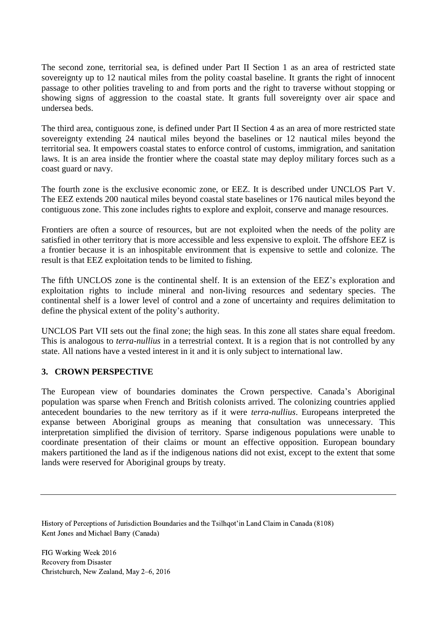The second zone, territorial sea, is defined under Part II Section 1 as an area of restricted state sovereignty up to 12 nautical miles from the polity coastal baseline. It grants the right of innocent passage to other polities traveling to and from ports and the right to traverse without stopping or showing signs of aggression to the coastal state. It grants full sovereignty over air space and undersea beds.

The third area, contiguous zone, is defined under Part II Section 4 as an area of more restricted state sovereignty extending 24 nautical miles beyond the baselines or 12 nautical miles beyond the territorial sea. It empowers coastal states to enforce control of customs, immigration, and sanitation laws. It is an area inside the frontier where the coastal state may deploy military forces such as a coast guard or navy.

The fourth zone is the exclusive economic zone, or EEZ. It is described under UNCLOS Part V. The EEZ extends 200 nautical miles beyond coastal state baselines or 176 nautical miles beyond the contiguous zone. This zone includes rights to explore and exploit, conserve and manage resources.

Frontiers are often a source of resources, but are not exploited when the needs of the polity are satisfied in other territory that is more accessible and less expensive to exploit. The offshore EEZ is a frontier because it is an inhospitable environment that is expensive to settle and colonize. The result is that EEZ exploitation tends to be limited to fishing.

The fifth UNCLOS zone is the continental shelf. It is an extension of the EEZ's exploration and exploitation rights to include mineral and non-living resources and sedentary species. The continental shelf is a lower level of control and a zone of uncertainty and requires delimitation to define the physical extent of the polity's authority.

UNCLOS Part VII sets out the final zone; the high seas. In this zone all states share equal freedom. This is analogous to *terra-nullius* in a terrestrial context. It is a region that is not controlled by any state. All nations have a vested interest in it and it is only subject to international law.

## **3. CROWN PERSPECTIVE**

The European view of boundaries dominates the Crown perspective. Canada's Aboriginal population was sparse when French and British colonists arrived. The colonizing countries applied antecedent boundaries to the new territory as if it were *terra-nullius*. Europeans interpreted the expanse between Aboriginal groups as meaning that consultation was unnecessary. This interpretation simplified the division of territory. Sparse indigenous populations were unable to coordinate presentation of their claims or mount an effective opposition. European boundary makers partitioned the land as if the indigenous nations did not exist, except to the extent that some lands were reserved for Aboriginal groups by treaty.

History of Perceptions of Jurisdiction Boundaries and the Tsilhqot'in Land Claim in Canada (8108) Kent Jones and Michael Barry (Canada)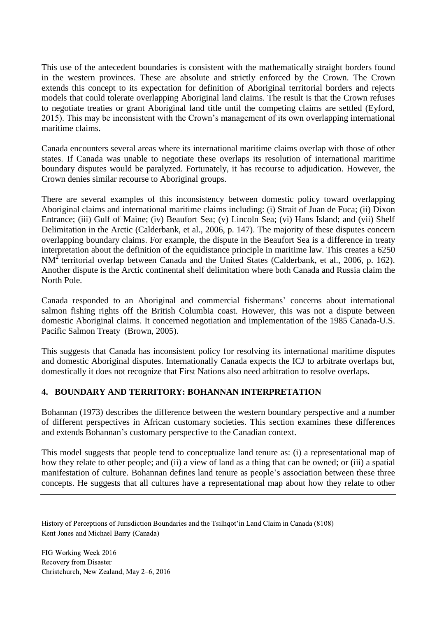This use of the antecedent boundaries is consistent with the mathematically straight borders found in the western provinces. These are absolute and strictly enforced by the Crown. The Crown extends this concept to its expectation for definition of Aboriginal territorial borders and rejects models that could tolerate overlapping Aboriginal land claims. The result is that the Crown refuses to negotiate treaties or grant Aboriginal land title until the competing claims are settled (Eyford, 2015). This may be inconsistent with the Crown's management of its own overlapping international maritime claims.

Canada encounters several areas where its international maritime claims overlap with those of other states. If Canada was unable to negotiate these overlaps its resolution of international maritime boundary disputes would be paralyzed. Fortunately, it has recourse to adjudication. However, the Crown denies similar recourse to Aboriginal groups.

There are several examples of this inconsistency between domestic policy toward overlapping Aboriginal claims and international maritime claims including: (i) Strait of Juan de Fuca; (ii) Dixon Entrance; (iii) Gulf of Maine; (iv) Beaufort Sea; (v) Lincoln Sea; (vi) Hans Island; and (vii) Shelf Delimitation in the Arctic (Calderbank, et al., 2006, p. 147). The majority of these disputes concern overlapping boundary claims. For example, the dispute in the Beaufort Sea is a difference in treaty interpretation about the definition of the equidistance principle in maritime law. This creates a 6250  $NM<sup>2</sup>$  territorial overlap between Canada and the United States (Calderbank, et al., 2006, p. 162). Another dispute is the Arctic continental shelf delimitation where both Canada and Russia claim the North Pole.

Canada responded to an Aboriginal and commercial fishermans' concerns about international salmon fishing rights off the British Columbia coast. However, this was not a dispute between domestic Aboriginal claims. It concerned negotiation and implementation of the 1985 Canada-U.S. Pacific Salmon Treaty (Brown, 2005).

This suggests that Canada has inconsistent policy for resolving its international maritime disputes and domestic Aboriginal disputes. Internationally Canada expects the ICJ to arbitrate overlaps but, domestically it does not recognize that First Nations also need arbitration to resolve overlaps.

## **4. BOUNDARY AND TERRITORY: BOHANNAN INTERPRETATION**

Bohannan (1973) describes the difference between the western boundary perspective and a number of different perspectives in African customary societies. This section examines these differences and extends Bohannan's customary perspective to the Canadian context.

This model suggests that people tend to conceptualize land tenure as: (i) a representational map of how they relate to other people; and (ii) a view of land as a thing that can be owned; or (iii) a spatial manifestation of culture. Bohannan defines land tenure as people's association between these three concepts. He suggests that all cultures have a representational map about how they relate to other

History of Perceptions of Jurisdiction Boundaries and the Tsilhqot'in Land Claim in Canada (8108) Kent Jones and Michael Barry (Canada)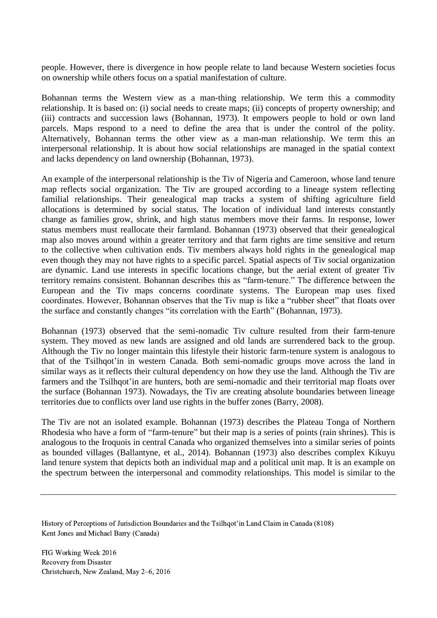people. However, there is divergence in how people relate to land because Western societies focus on ownership while others focus on a spatial manifestation of culture.

Bohannan terms the Western view as a man-thing relationship. We term this a commodity relationship. It is based on: (i) social needs to create maps; (ii) concepts of property ownership; and (iii) contracts and succession laws (Bohannan, 1973). It empowers people to hold or own land parcels. Maps respond to a need to define the area that is under the control of the polity. Alternatively, Bohannan terms the other view as a man-man relationship. We term this an interpersonal relationship. It is about how social relationships are managed in the spatial context and lacks dependency on land ownership (Bohannan, 1973).

An example of the interpersonal relationship is the Tiv of Nigeria and Cameroon, whose land tenure map reflects social organization. The Tiv are grouped according to a lineage system reflecting familial relationships. Their genealogical map tracks a system of shifting agriculture field allocations is determined by social status. The location of individual land interests constantly change as families grow, shrink, and high status members move their farms. In response, lower status members must reallocate their farmland. Bohannan (1973) observed that their genealogical map also moves around within a greater territory and that farm rights are time sensitive and return to the collective when cultivation ends. Tiv members always hold rights in the genealogical map even though they may not have rights to a specific parcel. Spatial aspects of Tiv social organization are dynamic. Land use interests in specific locations change, but the aerial extent of greater Tiv territory remains consistent. Bohannan describes this as "farm-tenure." The difference between the European and the Tiv maps concerns coordinate systems. The European map uses fixed coordinates. However, Bohannan observes that the Tiv map is like a "rubber sheet" that floats over the surface and constantly changes "its correlation with the Earth" (Bohannan, 1973).

Bohannan (1973) observed that the semi-nomadic Tiv culture resulted from their farm-tenure system. They moved as new lands are assigned and old lands are surrendered back to the group. Although the Tiv no longer maintain this lifestyle their historic farm-tenure system is analogous to that of the Tsilhqot'in in western Canada. Both semi-nomadic groups move across the land in similar ways as it reflects their cultural dependency on how they use the land. Although the Tiv are farmers and the Tsilhqot'in are hunters, both are semi-nomadic and their territorial map floats over the surface (Bohannan 1973). Nowadays, the Tiv are creating absolute boundaries between lineage territories due to conflicts over land use rights in the buffer zones (Barry, 2008).

The Tiv are not an isolated example. Bohannan (1973) describes the Plateau Tonga of Northern Rhodesia who have a form of "farm-tenure" but their map is a series of points (rain shrines). This is analogous to the Iroquois in central Canada who organized themselves into a similar series of points as bounded villages (Ballantyne, et al., 2014). Bohannan (1973) also describes complex Kikuyu land tenure system that depicts both an individual map and a political unit map. It is an example on the spectrum between the interpersonal and commodity relationships. This model is similar to the

History of Perceptions of Jurisdiction Boundaries and the Tsilhqot'in Land Claim in Canada (8108) Kent Jones and Michael Barry (Canada)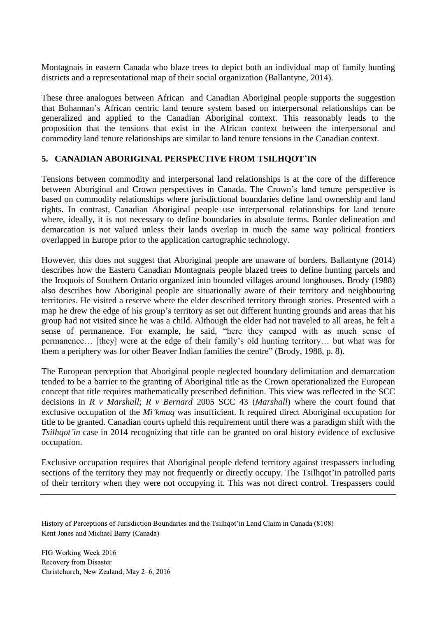Montagnais in eastern Canada who blaze trees to depict both an individual map of family hunting districts and a representational map of their social organization (Ballantyne, 2014).

These three analogues between African and Canadian Aboriginal people supports the suggestion that Bohannan's African centric land tenure system based on interpersonal relationships can be generalized and applied to the Canadian Aboriginal context. This reasonably leads to the proposition that the tensions that exist in the African context between the interpersonal and commodity land tenure relationships are similar to land tenure tensions in the Canadian context.

## **5. CANADIAN ABORIGINAL PERSPECTIVE FROM TSILHQOT'IN**

Tensions between commodity and interpersonal land relationships is at the core of the difference between Aboriginal and Crown perspectives in Canada. The Crown's land tenure perspective is based on commodity relationships where jurisdictional boundaries define land ownership and land rights. In contrast, Canadian Aboriginal people use interpersonal relationships for land tenure where, ideally, it is not necessary to define boundaries in absolute terms. Border delineation and demarcation is not valued unless their lands overlap in much the same way political frontiers overlapped in Europe prior to the application cartographic technology.

However, this does not suggest that Aboriginal people are unaware of borders. Ballantyne (2014) describes how the Eastern Canadian Montagnais people blazed trees to define hunting parcels and the Iroquois of Southern Ontario organized into bounded villages around longhouses. Brody (1988) also describes how Aboriginal people are situationally aware of their territory and neighbouring territories. He visited a reserve where the elder described territory through stories. Presented with a map he drew the edge of his group's territory as set out different hunting grounds and areas that his group had not visited since he was a child. Although the elder had not traveled to all areas, he felt a sense of permanence. For example, he said, "here they camped with as much sense of permanence… [they] were at the edge of their family's old hunting territory… but what was for them a periphery was for other Beaver Indian families the centre" (Brody, 1988, p. 8).

The European perception that Aboriginal people neglected boundary delimitation and demarcation tended to be a barrier to the granting of Aboriginal title as the Crown operationalized the European concept that title requires mathematically prescribed definition. This view was reflected in the SCC decisions in *R v Marshall*; *R v Bernard* 2005 SCC 43 (*Marshall*) where the court found that exclusive occupation of the *Mi'kmaq* was insufficient. It required direct Aboriginal occupation for title to be granted. Canadian courts upheld this requirement until there was a paradigm shift with the *Tsilhqot'in* case in 2014 recognizing that title can be granted on oral history evidence of exclusive occupation.

Exclusive occupation requires that Aboriginal people defend territory against trespassers including sections of the territory they may not frequently or directly occupy. The Tsilhqot'in patrolled parts of their territory when they were not occupying it. This was not direct control. Trespassers could

History of Perceptions of Jurisdiction Boundaries and the Tsilhqot'in Land Claim in Canada (8108) Kent Jones and Michael Barry (Canada)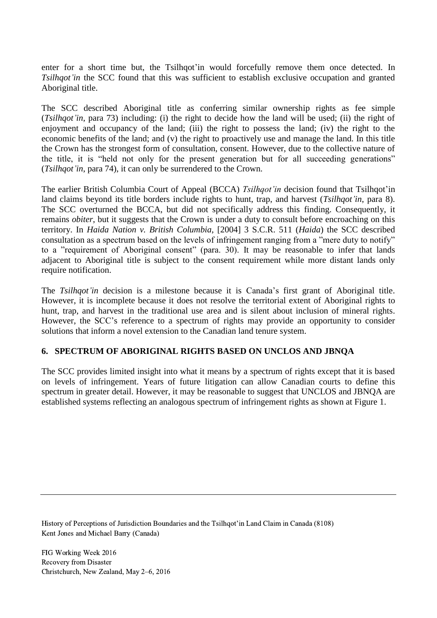enter for a short time but, the Tsilhqot'in would forcefully remove them once detected. In *Tsilhaot'in* the SCC found that this was sufficient to establish exclusive occupation and granted Aboriginal title.

The SCC described Aboriginal title as conferring similar ownership rights as fee simple (*Tsilhqot'in*, para 73) including: (i) the right to decide how the land will be used; (ii) the right of enjoyment and occupancy of the land; (iii) the right to possess the land; (iv) the right to the economic benefits of the land; and (v) the right to proactively use and manage the land. In this title the Crown has the strongest form of consultation, consent. However, due to the collective nature of the title, it is "held not only for the present generation but for all succeeding generations" (*Tsilhqot'in*, para 74), it can only be surrendered to the Crown.

The earlier British Columbia Court of Appeal (BCCA) *Tsilhqot'in* decision found that Tsilhqot'in land claims beyond its title borders include rights to hunt, trap, and harvest (*Tsilhqot'in*, para 8). The SCC overturned the BCCA, but did not specifically address this finding. Consequently, it remains *obiter*, but it suggests that the Crown is under a duty to consult before encroaching on this territory. In *Haida Nation v. British Columbia*, [2004] 3 S.C.R. 511 (*Haida*) the SCC described consultation as a spectrum based on the levels of infringement ranging from a "mere duty to notify" to a "requirement of Aboriginal consent" (para. 30). It may be reasonable to infer that lands adjacent to Aboriginal title is subject to the consent requirement while more distant lands only require notification.

The *Tsilhqot'in* decision is a milestone because it is Canada's first grant of Aboriginal title. However, it is incomplete because it does not resolve the territorial extent of Aboriginal rights to hunt, trap, and harvest in the traditional use area and is silent about inclusion of mineral rights. However, the SCC's reference to a spectrum of rights may provide an opportunity to consider solutions that inform a novel extension to the Canadian land tenure system.

## **6. SPECTRUM OF ABORIGINAL RIGHTS BASED ON UNCLOS AND JBNQA**

The SCC provides limited insight into what it means by a spectrum of rights except that it is based on levels of infringement. Years of future litigation can allow Canadian courts to define this spectrum in greater detail. However, it may be reasonable to suggest that UNCLOS and JBNQA are established systems reflecting an analogous spectrum of infringement rights as shown at [Figure 1.](#page-11-0)

History of Perceptions of Jurisdiction Boundaries and the Tsilhqot'in Land Claim in Canada (8108) Kent Jones and Michael Barry (Canada)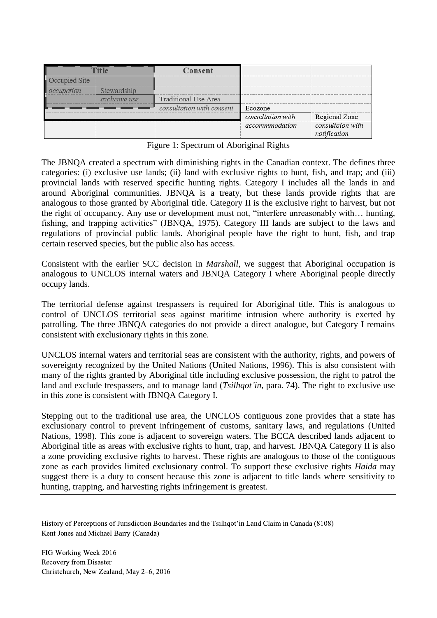|  |                                   | Consent                   |                   |                  |
|--|-----------------------------------|---------------------------|-------------------|------------------|
|  |                                   |                           |                   |                  |
|  | a way you want and you want to be |                           |                   |                  |
|  |                                   | Traditional Use Area      |                   |                  |
|  |                                   | consultation with consent | Ecozone           |                  |
|  |                                   |                           | consultation with | Regional Zone    |
|  |                                   |                           | accommmodation    | consultaion with |

Figure 1: Spectrum of Aboriginal Rights

<span id="page-11-0"></span>The JBNQA created a spectrum with diminishing rights in the Canadian context. The defines three categories: (i) exclusive use lands; (ii) land with exclusive rights to hunt, fish, and trap; and (iii) provincial lands with reserved specific hunting rights. Category I includes all the lands in and around Aboriginal communities. JBNQA is a treaty, but these lands provide rights that are analogous to those granted by Aboriginal title. Category II is the exclusive right to harvest, but not the right of occupancy. Any use or development must not, "interfere unreasonably with… hunting, fishing, and trapping activities" (JBNQA, 1975). Category III lands are subject to the laws and regulations of provincial public lands. Aboriginal people have the right to hunt, fish, and trap certain reserved species, but the public also has access.

Consistent with the earlier SCC decision in *Marshall*, we suggest that Aboriginal occupation is analogous to UNCLOS internal waters and JBNQA Category I where Aboriginal people directly occupy lands.

The territorial defense against trespassers is required for Aboriginal title. This is analogous to control of UNCLOS territorial seas against maritime intrusion where authority is exerted by patrolling. The three JBNQA categories do not provide a direct analogue, but Category I remains consistent with exclusionary rights in this zone.

UNCLOS internal waters and territorial seas are consistent with the authority, rights, and powers of sovereignty recognized by the United Nations (United Nations, 1996). This is also consistent with many of the rights granted by Aboriginal title including exclusive possession, the right to patrol the land and exclude trespassers, and to manage land (*Tsilhqot'in*, para. 74). The right to exclusive use in this zone is consistent with JBNQA Category I.

Stepping out to the traditional use area, the UNCLOS contiguous zone provides that a state has exclusionary control to prevent infringement of customs, sanitary laws, and regulations (United Nations, 1998). This zone is adjacent to sovereign waters. The BCCA described lands adjacent to Aboriginal title as areas with exclusive rights to hunt, trap, and harvest. JBNQA Category II is also a zone providing exclusive rights to harvest. These rights are analogous to those of the contiguous zone as each provides limited exclusionary control. To support these exclusive rights *Haida* may suggest there is a duty to consent because this zone is adjacent to title lands where sensitivity to hunting, trapping, and harvesting rights infringement is greatest.

History of Perceptions of Jurisdiction Boundaries and the Tsilhqot'in Land Claim in Canada (8108) Kent Jones and Michael Barry (Canada)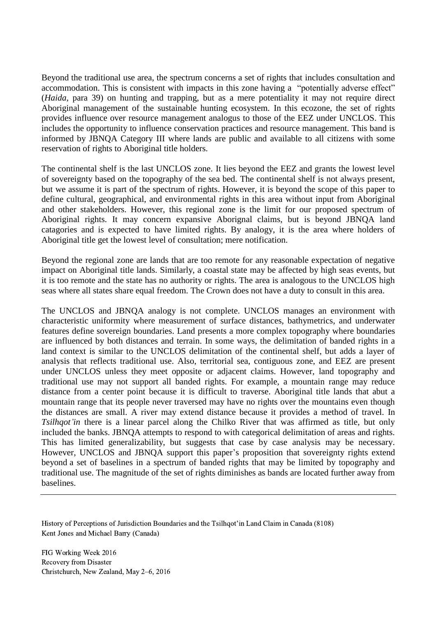Beyond the traditional use area, the spectrum concerns a set of rights that includes consultation and accommodation. This is consistent with impacts in this zone having a "potentially adverse effect" (*Haida*, para 39) on hunting and trapping, but as a mere potentiality it may not require direct Aboriginal management of the sustainable hunting ecosystem. In this ecozone, the set of rights provides influence over resource management analogus to those of the EEZ under UNCLOS. This includes the opportunity to influence conservation practices and resource management. This band is informed by JBNQA Category III where lands are public and available to all citizens with some reservation of rights to Aboriginal title holders.

The continental shelf is the last UNCLOS zone. It lies beyond the EEZ and grants the lowest level of sovereignty based on the topography of the sea bed. The continental shelf is not always present, but we assume it is part of the spectrum of rights. However, it is beyond the scope of this paper to define cultural, geographical, and environmental rights in this area without input from Aboriginal and other stakeholders. However, this regional zone is the limit for our proposed spectrum of Aboriginal rights. It may concern expansive Aborignal claims, but is beyond JBNQA land catagories and is expected to have limited rights. By analogy, it is the area where holders of Aboriginal title get the lowest level of consultation; mere notification.

Beyond the regional zone are lands that are too remote for any reasonable expectation of negative impact on Aboriginal title lands. Similarly, a coastal state may be affected by high seas events, but it is too remote and the state has no authority or rights. The area is analogous to the UNCLOS high seas where all states share equal freedom. The Crown does not have a duty to consult in this area.

The UNCLOS and JBNQA analogy is not complete. UNCLOS manages an environment with characteristic uniformity where measurement of surface distances, bathymetrics, and underwater features define sovereign boundaries. Land presents a more complex topography where boundaries are influenced by both distances and terrain. In some ways, the delimitation of banded rights in a land context is similar to the UNCLOS delimitation of the continental shelf, but adds a layer of analysis that reflects traditional use. Also, territorial sea, contiguous zone, and EEZ are present under UNCLOS unless they meet opposite or adjacent claims. However, land topography and traditional use may not support all banded rights. For example, a mountain range may reduce distance from a center point because it is difficult to traverse. Aboriginal title lands that abut a mountain range that its people never traversed may have no rights over the mountains even though the distances are small. A river may extend distance because it provides a method of travel. In *Tsilhqot'in* there is a linear parcel along the Chilko River that was affirmed as title, but only included the banks. JBNQA attempts to respond to with categorical delimitation of areas and rights. This has limited generalizability, but suggests that case by case analysis may be necessary. However, UNCLOS and JBNQA support this paper's proposition that sovereignty rights extend beyond a set of baselines in a spectrum of banded rights that may be limited by topography and traditional use. The magnitude of the set of rights diminishes as bands are located further away from baselines.

History of Perceptions of Jurisdiction Boundaries and the Tsilhqot'in Land Claim in Canada (8108) Kent Jones and Michael Barry (Canada)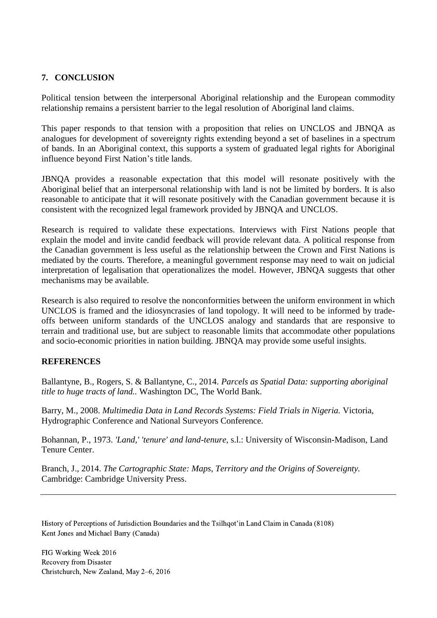# **7. CONCLUSION**

Political tension between the interpersonal Aboriginal relationship and the European commodity relationship remains a persistent barrier to the legal resolution of Aboriginal land claims.

This paper responds to that tension with a proposition that relies on UNCLOS and JBNQA as analogues for development of sovereignty rights extending beyond a set of baselines in a spectrum of bands. In an Aboriginal context, this supports a system of graduated legal rights for Aboriginal influence beyond First Nation's title lands.

JBNQA provides a reasonable expectation that this model will resonate positively with the Aboriginal belief that an interpersonal relationship with land is not be limited by borders. It is also reasonable to anticipate that it will resonate positively with the Canadian government because it is consistent with the recognized legal framework provided by JBNQA and UNCLOS.

Research is required to validate these expectations. Interviews with First Nations people that explain the model and invite candid feedback will provide relevant data. A political response from the Canadian government is less useful as the relationship between the Crown and First Nations is mediated by the courts. Therefore, a meaningful government response may need to wait on judicial interpretation of legalisation that operationalizes the model. However, JBNQA suggests that other mechanisms may be available.

Research is also required to resolve the nonconformities between the uniform environment in which UNCLOS is framed and the idiosyncrasies of land topology. It will need to be informed by tradeoffs between uniform standards of the UNCLOS analogy and standards that are responsive to terrain and traditional use, but are subject to reasonable limits that accommodate other populations and socio-economic priorities in nation building. JBNQA may provide some useful insights.

## **REFERENCES**

Ballantyne, B., Rogers, S. & Ballantyne, C., 2014. *Parcels as Spatial Data: supporting aboriginal title to huge tracts of land..* Washington DC, The World Bank.

Barry, M., 2008. *Multimedia Data in Land Records Systems: Field Trials in Nigeria.* Victoria, Hydrographic Conference and National Surveyors Conference.

Bohannan, P., 1973. *'Land,' 'tenure' and land-tenure,* s.l.: University of Wisconsin-Madison, Land Tenure Center.

Branch, J., 2014. *The Cartographic State: Maps, Territory and the Origins of Sovereignty.*  Cambridge: Cambridge University Press.

History of Perceptions of Jurisdiction Boundaries and the Tsilhqot'in Land Claim in Canada (8108) Kent Jones and Michael Barry (Canada)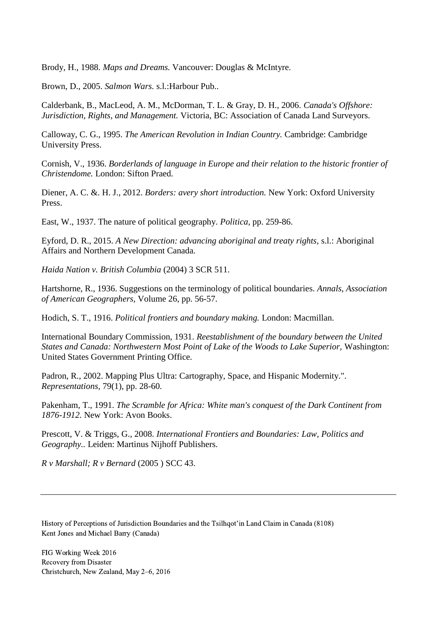Brody, H., 1988. *Maps and Dreams.* Vancouver: Douglas & McIntyre.

Brown, D., 2005. *Salmon Wars.* s.l.:Harbour Pub..

Calderbank, B., MacLeod, A. M., McDorman, T. L. & Gray, D. H., 2006. *Canada's Offshore: Jurisdiction, Rights, and Management.* Victoria, BC: Association of Canada Land Surveyors.

Calloway, C. G., 1995. *The American Revolution in Indian Country.* Cambridge: Cambridge University Press.

Cornish, V., 1936. *Borderlands of language in Europe and their relation to the historic frontier of Christendome.* London: Sifton Praed.

Diener, A. C. &. H. J., 2012. *Borders: avery short introduction.* New York: Oxford University Press.

East, W., 1937. The nature of political geography. *Politica,* pp. 259-86.

Eyford, D. R., 2015. *A New Direction: advancing aboriginal and treaty rights,* s.l.: Aboriginal Affairs and Northern Development Canada.

*Haida Nation v. British Columbia* (2004) 3 SCR 511.

Hartshorne, R., 1936. Suggestions on the terminology of political boundaries. *Annals, Association of American Geographers,* Volume 26, pp. 56-57.

Hodich, S. T., 1916. *Political frontiers and boundary making.* London: Macmillan.

International Boundary Commission, 1931. *Reestablishment of the boundary between the United States and Canada: Northwestern Most Point of Lake of the Woods to Lake Superior, Washington:* United States Government Printing Office.

Padron, R., 2002. Mapping Plus Ultra: Cartography, Space, and Hispanic Modernity.". *Representations,* 79(1), pp. 28-60.

Pakenham, T., 1991. *The Scramble for Africa: White man's conquest of the Dark Continent from 1876-1912.* New York: Avon Books.

Prescott, V. & Triggs, G., 2008. *International Frontiers and Boundaries: Law, Politics and Geography..* Leiden: Martinus Nijhoff Publishers.

*R v Marshall; R v Bernard* (2005 ) SCC 43.

History of Perceptions of Jurisdiction Boundaries and the Tsilhqot'in Land Claim in Canada (8108) Kent Jones and Michael Barry (Canada)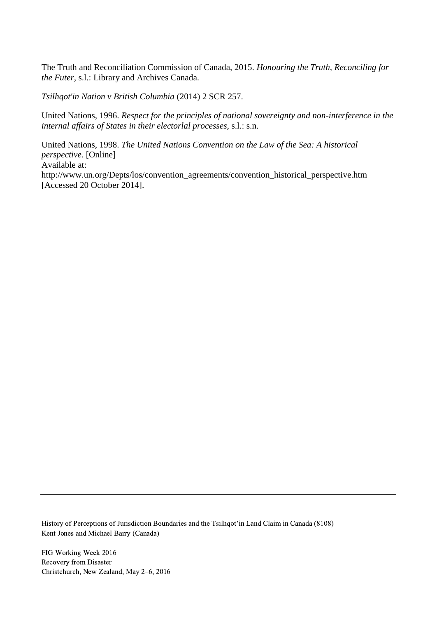The Truth and Reconciliation Commission of Canada, 2015. *Honouring the Truth, Reconciling for the Futer,* s.l.: Library and Archives Canada.

*Tsilhqot'in Nation v British Columbia* (2014) 2 SCR 257.

United Nations, 1996. *Respect for the principles of national sovereignty and non-interference in the internal affairs of States in their electorlal processes,* s.l.: s.n.

United Nations, 1998. *The United Nations Convention on the Law of the Sea: A historical perspective.* [Online] Available at: http://www.un.org/Depts/los/convention\_agreements/convention\_historical\_perspective.htm [Accessed 20 October 2014].

History of Perceptions of Jurisdiction Boundaries and the Tsilhqot'in Land Claim in Canada (8108) Kent Jones and Michael Barry (Canada)